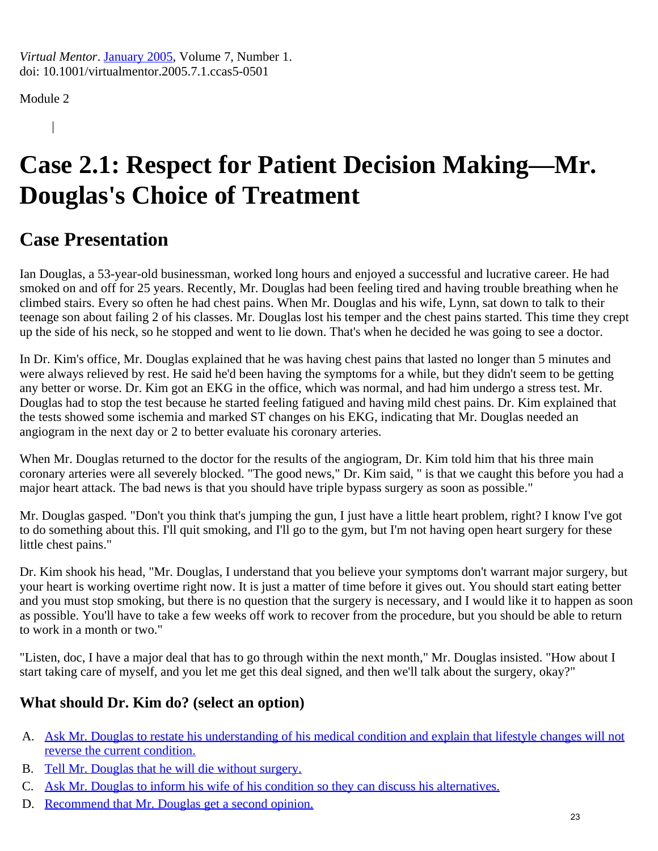*Virtual Mentor*. [January 2005](file:///2005/01/toc-0501.html), Volume 7, Number 1. doi: 10.1001/virtualmentor.2005.7.1.ccas5-0501

### Module 2

|

# **Case 2.1: Respect for Patient Decision Making—Mr. Douglas's Choice of Treatment**

### **Case Presentation**

Ian Douglas, a 53-year-old businessman, worked long hours and enjoyed a successful and lucrative career. He had smoked on and off for 25 years. Recently, Mr. Douglas had been feeling tired and having trouble breathing when he climbed stairs. Every so often he had chest pains. When Mr. Douglas and his wife, Lynn, sat down to talk to their teenage son about failing 2 of his classes. Mr. Douglas lost his temper and the chest pains started. This time they crept up the side of his neck, so he stopped and went to lie down. That's when he decided he was going to see a doctor.

In Dr. Kim's office, Mr. Douglas explained that he was having chest pains that lasted no longer than 5 minutes and were always relieved by rest. He said he'd been having the symptoms for a while, but they didn't seem to be getting any better or worse. Dr. Kim got an EKG in the office, which was normal, and had him undergo a stress test. Mr. Douglas had to stop the test because he started feeling fatigued and having mild chest pains. Dr. Kim explained that the tests showed some ischemia and marked ST changes on his EKG, indicating that Mr. Douglas needed an angiogram in the next day or 2 to better evaluate his coronary arteries.

When Mr. Douglas returned to the doctor for the results of the angiogram, Dr. Kim told him that his three main coronary arteries were all severely blocked. "The good news," Dr. Kim said, " is that we caught this before you had a major heart attack. The bad news is that you should have triple bypass surgery as soon as possible."

Mr. Douglas gasped. "Don't you think that's jumping the gun, I just have a little heart problem, right? I know I've got to do something about this. I'll quit smoking, and I'll go to the gym, but I'm not having open heart surgery for these little chest pains."

Dr. Kim shook his head, "Mr. Douglas, I understand that you believe your symptoms don't warrant major surgery, but your heart is working overtime right now. It is just a matter of time before it gives out. You should start eating better and you must stop smoking, but there is no question that the surgery is necessary, and I would like it to happen as soon as possible. You'll have to take a few weeks off work to recover from the procedure, but you should be able to return to work in a month or two."

"Listen, doc, I have a major deal that has to go through within the next month," Mr. Douglas insisted. "How about I start taking care of myself, and you let me get this deal signed, and then we'll talk about the surgery, okay?"

### **What should Dr. Kim do? (select an option)**

- A. [Ask Mr. Douglas to restate his understanding of his medical condition and explain that lifestyle changes will not](file:///2005/01/ccas5a-0501.html#a) [reverse the current condition.](file:///2005/01/ccas5a-0501.html#a)
- B. [Tell Mr. Douglas that he will die without surgery.](file:///2005/01/ccas5a-0501.html#b)
- C. [Ask Mr. Douglas to inform his wife of his condition so they can discuss his alternatives.](file:///2005/01/ccas5a-0501.html#c)
- D. [Recommend that Mr. Douglas get a second opinion.](file:///2005/01/ccas5a-0501.html#d)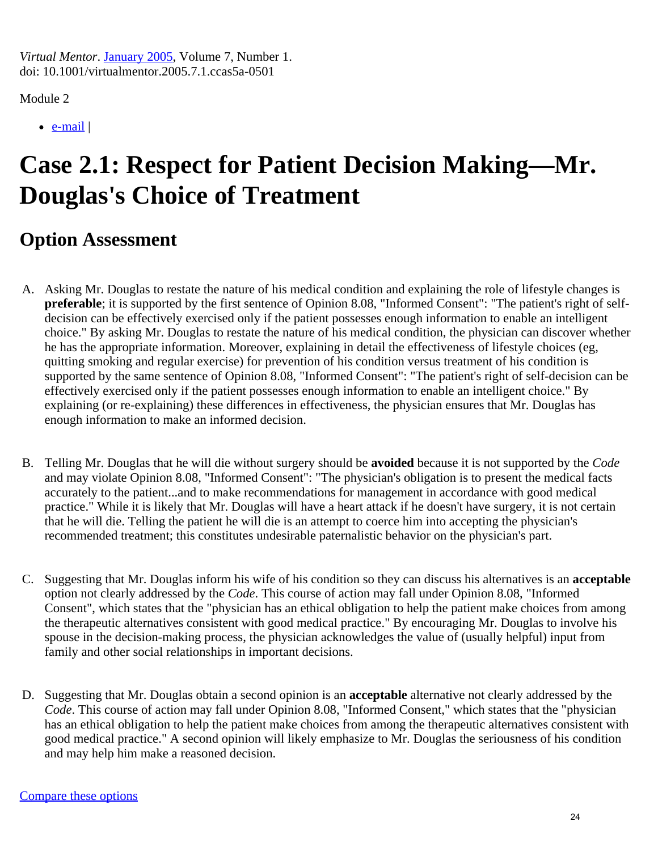<span id="page-1-0"></span>*Virtual Mentor*. [January 2005](file:///2005/01/toc-0501.html), Volume 7, Number 1. doi: 10.1001/virtualmentor.2005.7.1.ccas5a-0501

Module 2

 $\bullet$  [e-mail](#page-1-0)

# **Case 2.1: Respect for Patient Decision Making—Mr. Douglas's Choice of Treatment**

## **Option Assessment**

- A. Asking Mr. Douglas to restate the nature of his medical condition and explaining the role of lifestyle changes is **preferable**; it is supported by the first sentence of Opinion 8.08, "Informed Consent": "The patient's right of selfdecision can be effectively exercised only if the patient possesses enough information to enable an intelligent choice." By asking Mr. Douglas to restate the nature of his medical condition, the physician can discover whether he has the appropriate information. Moreover, explaining in detail the effectiveness of lifestyle choices (eg, quitting smoking and regular exercise) for prevention of his condition versus treatment of his condition is supported by the same sentence of Opinion 8.08, "Informed Consent": "The patient's right of self-decision can be effectively exercised only if the patient possesses enough information to enable an intelligent choice." By explaining (or re-explaining) these differences in effectiveness, the physician ensures that Mr. Douglas has enough information to make an informed decision.
- B. Telling Mr. Douglas that he will die without surgery should be **avoided** because it is not supported by the *Code* and may violate Opinion 8.08, "Informed Consent": "The physician's obligation is to present the medical facts accurately to the patient...and to make recommendations for management in accordance with good medical practice." While it is likely that Mr. Douglas will have a heart attack if he doesn't have surgery, it is not certain that he will die. Telling the patient he will die is an attempt to coerce him into accepting the physician's recommended treatment; this constitutes undesirable paternalistic behavior on the physician's part.
- C. Suggesting that Mr. Douglas inform his wife of his condition so they can discuss his alternatives is an **acceptable** option not clearly addressed by the *Code*. This course of action may fall under Opinion 8.08, "Informed Consent", which states that the "physician has an ethical obligation to help the patient make choices from among the therapeutic alternatives consistent with good medical practice." By encouraging Mr. Douglas to involve his spouse in the decision-making process, the physician acknowledges the value of (usually helpful) input from family and other social relationships in important decisions.
- D. Suggesting that Mr. Douglas obtain a second opinion is an **acceptable** alternative not clearly addressed by the *Code*. This course of action may fall under Opinion 8.08, "Informed Consent," which states that the "physician has an ethical obligation to help the patient make choices from among the therapeutic alternatives consistent with good medical practice." A second opinion will likely emphasize to Mr. Douglas the seriousness of his condition and may help him make a reasoned decision.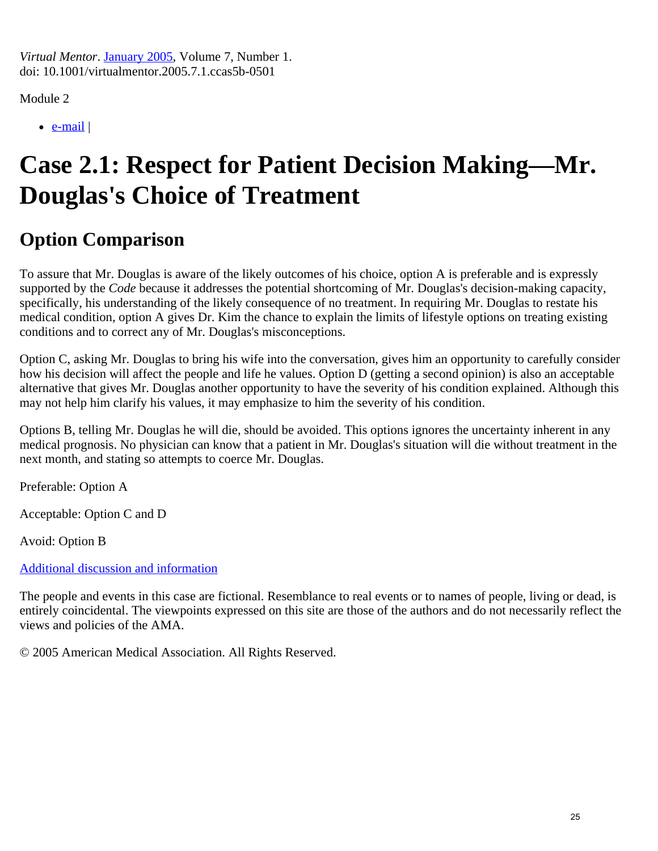<span id="page-2-0"></span>*Virtual Mentor*. [January 2005](file:///2005/01/toc-0501.html), Volume 7, Number 1. doi: 10.1001/virtualmentor.2005.7.1.ccas5b-0501

Module 2

 $\bullet$  [e-mail](#page-2-0)

# **Case 2.1: Respect for Patient Decision Making—Mr. Douglas's Choice of Treatment**

## **Option Comparison**

To assure that Mr. Douglas is aware of the likely outcomes of his choice, option A is preferable and is expressly supported by the *Code* because it addresses the potential shortcoming of Mr. Douglas's decision-making capacity, specifically, his understanding of the likely consequence of no treatment. In requiring Mr. Douglas to restate his medical condition, option A gives Dr. Kim the chance to explain the limits of lifestyle options on treating existing conditions and to correct any of Mr. Douglas's misconceptions.

Option C, asking Mr. Douglas to bring his wife into the conversation, gives him an opportunity to carefully consider how his decision will affect the people and life he values. Option D (getting a second opinion) is also an acceptable alternative that gives Mr. Douglas another opportunity to have the severity of his condition explained. Although this may not help him clarify his values, it may emphasize to him the severity of his condition.

Options B, telling Mr. Douglas he will die, should be avoided. This options ignores the uncertainty inherent in any medical prognosis. No physician can know that a patient in Mr. Douglas's situation will die without treatment in the next month, and stating so attempts to coerce Mr. Douglas.

Preferable: Option A

Acceptable: Option C and D

Avoid: Option B

[Additional discussion and information](file:///2005/01/ccas5c-0501.html)

The people and events in this case are fictional. Resemblance to real events or to names of people, living or dead, is entirely coincidental. The viewpoints expressed on this site are those of the authors and do not necessarily reflect the views and policies of the AMA.

© 2005 American Medical Association. All Rights Reserved.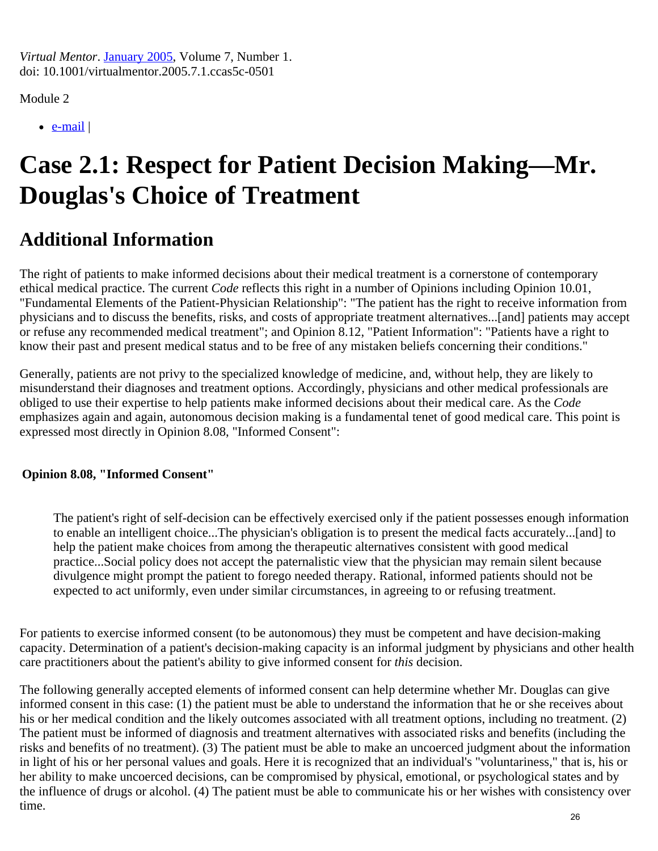<span id="page-3-0"></span>*Virtual Mentor*. [January 2005](file:///2005/01/toc-0501.html), Volume 7, Number 1. doi: 10.1001/virtualmentor.2005.7.1.ccas5c-0501

Module 2

[e-mail](#page-3-0) |

# **Case 2.1: Respect for Patient Decision Making—Mr. Douglas's Choice of Treatment**

## **Additional Information**

The right of patients to make informed decisions about their medical treatment is a cornerstone of contemporary ethical medical practice. The current *Code* reflects this right in a number of Opinions including Opinion 10.01, "Fundamental Elements of the Patient-Physician Relationship": "The patient has the right to receive information from physicians and to discuss the benefits, risks, and costs of appropriate treatment alternatives...[and] patients may accept or refuse any recommended medical treatment"; and Opinion 8.12, "Patient Information": "Patients have a right to know their past and present medical status and to be free of any mistaken beliefs concerning their conditions."

Generally, patients are not privy to the specialized knowledge of medicine, and, without help, they are likely to misunderstand their diagnoses and treatment options. Accordingly, physicians and other medical professionals are obliged to use their expertise to help patients make informed decisions about their medical care. As the *Code* emphasizes again and again, autonomous decision making is a fundamental tenet of good medical care. This point is expressed most directly in Opinion 8.08, "Informed Consent":

### **Opinion 8.08, "Informed Consent"**

The patient's right of self-decision can be effectively exercised only if the patient possesses enough information to enable an intelligent choice...The physician's obligation is to present the medical facts accurately...[and] to help the patient make choices from among the therapeutic alternatives consistent with good medical practice...Social policy does not accept the paternalistic view that the physician may remain silent because divulgence might prompt the patient to forego needed therapy. Rational, informed patients should not be expected to act uniformly, even under similar circumstances, in agreeing to or refusing treatment.

For patients to exercise informed consent (to be autonomous) they must be competent and have decision-making capacity. Determination of a patient's decision-making capacity is an informal judgment by physicians and other health care practitioners about the patient's ability to give informed consent for *this* decision.

The following generally accepted elements of informed consent can help determine whether Mr. Douglas can give informed consent in this case: (1) the patient must be able to understand the information that he or she receives about his or her medical condition and the likely outcomes associated with all treatment options, including no treatment. (2) The patient must be informed of diagnosis and treatment alternatives with associated risks and benefits (including the risks and benefits of no treatment). (3) The patient must be able to make an uncoerced judgment about the information in light of his or her personal values and goals. Here it is recognized that an individual's "voluntariness," that is, his or her ability to make uncoerced decisions, can be compromised by physical, emotional, or psychological states and by the influence of drugs or alcohol. (4) The patient must be able to communicate his or her wishes with consistency over time.